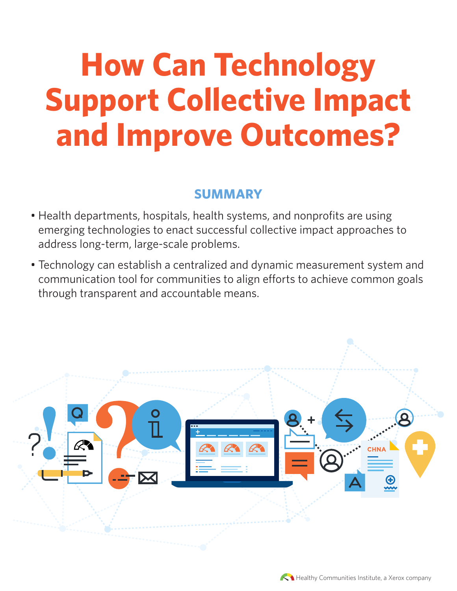# **How Can Technology Support Collective Impact and Improve Outcomes?**

## **SUMMARY**

- Health departments, hospitals, health systems, and nonprofits are using emerging technologies to enact successful collective impact approaches to address long-term, large-scale problems.
- Technology can establish a centralized and dynamic measurement system and communication tool for communities to align efforts to achieve common goals through transparent and accountable means.



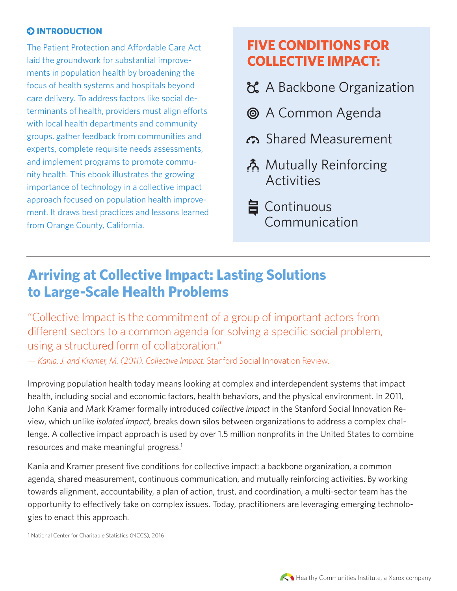#### **Q INTRODUCTION**

The Patient Protection and Affordable Care Act laid the groundwork for substantial improvements in population health by broadening the focus of health systems and hospitals beyond care delivery. To address factors like social determinants of health, providers must align efforts with local health departments and community groups, gather feedback from communities and experts, complete requisite needs assessments, and implement programs to promote community health. This ebook illustrates the growing importance of technology in a collective impact approach focused on population health improvement. It draws best practices and lessons learned from Orange County, California.

# **FIVE CONDITIONS FOR COLLECTIVE IMPACT:**

- A Backbone Organization
- A Common Agenda
- co Shared Measurement
- Mutually Reinforcing Activities
- **旨** Continuous Communication

# **Arriving at Collective Impact: Lasting Solutions to Large-Scale Health Problems**

"Collective Impact is the commitment of a group of important actors from different sectors to a common agenda for solving a specific social problem, using a structured form of collaboration."

*— Kania, J. and Kramer, M. (2011). Collective Impact.* Stanford Social Innovation Review*.*

Improving population health today means looking at complex and interdependent systems that impact health, including social and economic factors, health behaviors, and the physical environment. In 2011, John Kania and Mark Kramer formally introduced *collective impact* in the Stanford Social Innovation Review, which unlike *isolated impact,* breaks down silos between organizations to address a complex challenge. A collective impact approach is used by over 1.5 million nonprofits in the United States to combine resources and make meaningful progress.<sup>1</sup>

Kania and Kramer present five conditions for collective impact: a backbone organization, a common agenda, shared measurement, continuous communication, and mutually reinforcing activities. By working towards alignment, accountability, a plan of action, trust, and coordination, a multi-sector team has the opportunity to effectively take on complex issues. Today, practitioners are leveraging emerging technologies to enact this approach.

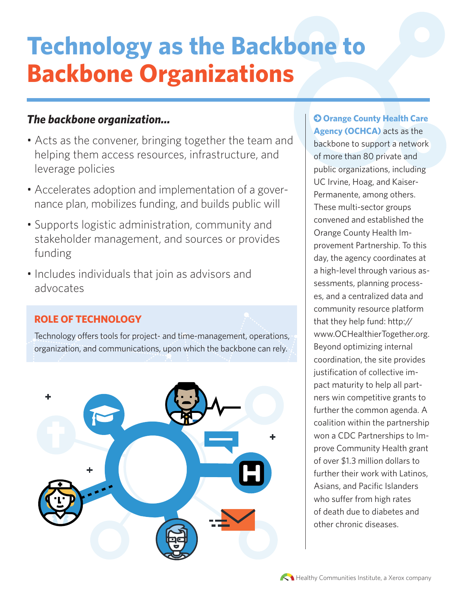# **Technology as the Backbone to Backbone Organizations**

## *The backbone organization...*

- Acts as the convener, bringing together the team and helping them access resources, infrastructure, and leverage policies
- Accelerates adoption and implementation of a governance plan, mobilizes funding, and builds public will
- Supports logistic administration, community and stakeholder management, and sources or provides funding
- Includes individuals that join as advisors and advocates

## **ROLE OF TECHNOLOGY**

Technology offers tools for project- and time-management, operations, organization, and communications, upon which the backbone can rely.



 **Orange County Health Care Agency (OCHCA)** acts as the backbone to support a network of more than 80 private and public organizations, including UC Irvine, Hoag, and Kaiser-Permanente, among others. These multi-sector groups convened and established the Orange County Health Improvement Partnership. To this day, the agency coordinates at a high-level through various assessments, planning processes, and a centralized data and community resource platform that they help fund: http:// www.OCHealthierTogether.org. Beyond optimizing internal coordination, the site provides justification of collective impact maturity to help all partners win competitive grants to further the common agenda. A coalition within the partnership won a CDC Partnerships to Improve Community Health grant of over \$1.3 million dollars to further their work with Latinos, Asians, and Pacific Islanders who suffer from high rates of death due to diabetes and other chronic diseases.

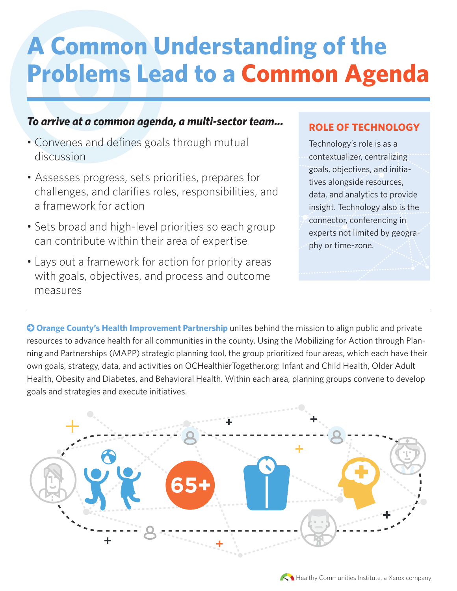# **A Common Understanding of the Problems Lead to a Common Agenda**

## *To arrive at a common agenda, a multi-sector team...*

- Convenes and defines goals through mutual discussion
- Assesses progress, sets priorities, prepares for challenges, and clarifies roles, responsibilities, and a framework for action
- Sets broad and high-level priorities so each group can contribute within their area of expertise
- Lays out a framework for action for priority areas with goals, objectives, and process and outcome measures

### **ROLE OF TECHNOLOGY**

Technology's role is as a contextualizer, centralizing goals, objectives, and initiatives alongside resources, data, and analytics to provide insight. Technology also is the connector, conferencing in experts not limited by geography or time-zone.

 **Orange County's Health Improvement Partnership** unites behind the mission to align public and private resources to advance health for all communities in the county. Using the Mobilizing for Action through Planning and Partnerships (MAPP) strategic planning tool, the group prioritized four areas, which each have their own goals, strategy, data, and activities on OCHealthierTogether.org: Infant and Child Health, Older Adult Health, Obesity and Diabetes, and Behavioral Health. Within each area, planning groups convene to develop goals and strategies and execute initiatives.



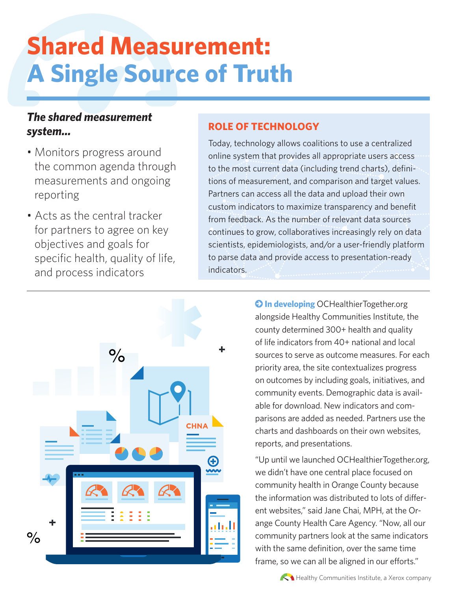# **Shared Measurement: A Single Source of Truth**

## *The shared measurement system...*

- Monitors progress around the common agenda through measurements and ongoing reporting
- Acts as the central tracker for partners to agree on key objectives and goals for specific health, quality of life, and process indicators



### **ROLE OF TECHNOLOGY**

Today, technology allows coalitions to use a centralized online system that provides all appropriate users access to the most current data (including trend charts), definitions of measurement, and comparison and target values. Partners can access all the data and upload their own custom indicators to maximize transparency and benefit from feedback. As the number of relevant data sources continues to grow, collaboratives increasingly rely on data scientists, epidemiologists, and/or a user-friendly platform to parse data and provide access to presentation-ready indicators.

> **O In developing** OCHealthierTogether.org alongside Healthy Communities Institute, the county determined 300+ health and quality of life indicators from 40+ national and local sources to serve as outcome measures. For each priority area, the site contextualizes progress on outcomes by including goals, initiatives, and community events. Demographic data is available for download. New indicators and comparisons are added as needed. Partners use the charts and dashboards on their own websites, reports, and presentations.

> "Up until we launched OCHealthierTogether.org, we didn't have one central place focused on community health in Orange County because the information was distributed to lots of different websites," said Jane Chai, MPH, at the Orange County Health Care Agency. "Now, all our community partners look at the same indicators with the same definition, over the same time frame, so we can all be aligned in our efforts."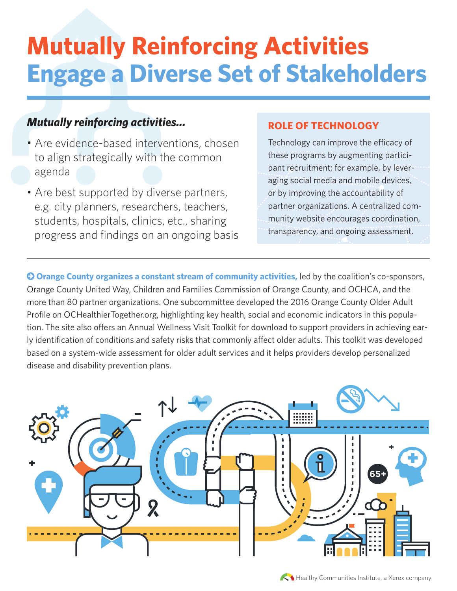# **Mutually Reinforcing Activities Engage a Diverse Set of Stakeholders**

## *Mutually reinforcing activities...*

- Are evidence-based interventions, chosen to align strategically with the common agenda
- Are best supported by diverse partners, e.g. city planners, researchers, teachers, students, hospitals, clinics, etc., sharing progress and findings on an ongoing basis

#### **ROLE OF TECHNOLOGY**

Technology can improve the efficacy of these programs by augmenting participant recruitment; for example, by leveraging social media and mobile devices, or by improving the accountability of partner organizations. A centralized community website encourages coordination, transparency, and ongoing assessment.

 **Orange County organizes a constant stream of community activities,** led by the coalition's co-sponsors, Orange County United Way, Children and Families Commission of Orange County, and OCHCA, and the more than 80 partner organizations. One subcommittee developed the 2016 Orange County Older Adult Profile on OCHealthierTogether.org, highlighting key health, social and economic indicators in this population. The site also offers an Annual Wellness Visit Toolkit for download to support providers in achieving early identification of conditions and safety risks that commonly affect older adults. This toolkit was developed based on a system-wide assessment for older adult services and it helps providers develop personalized disease and disability prevention plans.

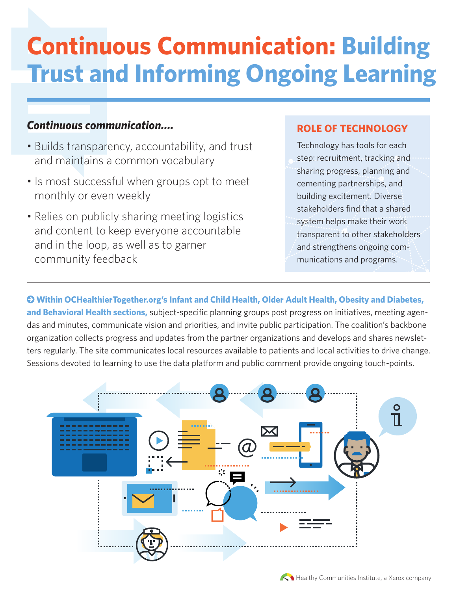# **Continuous Communication: Building Trust and Informing Ongoing Learning**

### *Continuous communication….*

- Builds transparency, accountability, and trust and maintains a common vocabulary
- Is most successful when groups opt to meet monthly or even weekly
- Relies on publicly sharing meeting logistics and content to keep everyone accountable and in the loop, as well as to garner community feedback

#### **ROLE OF TECHNOLOGY**

Technology has tools for each step: recruitment, tracking and sharing progress, planning and cementing partnerships, and building excitement. Diverse stakeholders find that a shared system helps make their work transparent to other stakeholders and strengthens ongoing communications and programs.

 **Within OCHealthierTogether.org's Infant and Child Health, Older Adult Health, Obesity and Diabetes, and Behavioral Health sections,** subject-specific planning groups post progress on initiatives, meeting agendas and minutes, communicate vision and priorities, and invite public participation. The coalition's backbone organization collects progress and updates from the partner organizations and develops and shares newsletters regularly. The site communicates local resources available to patients and local activities to drive change. Sessions devoted to learning to use the data platform and public comment provide ongoing touch-points.



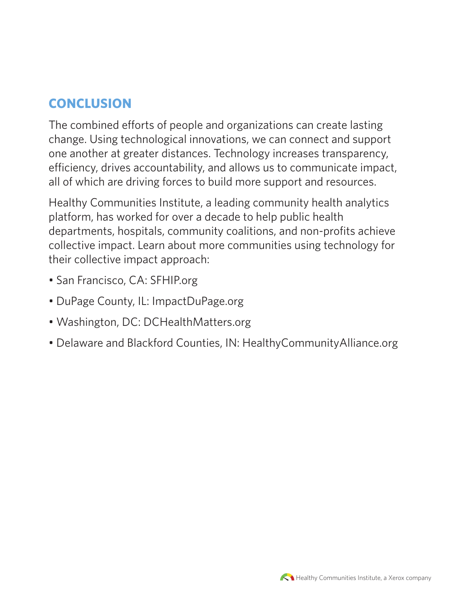# **CONCLUSION**

The combined efforts of people and organizations can create lasting change. Using technological innovations, we can connect and support one another at greater distances. Technology increases transparency, efficiency, drives accountability, and allows us to communicate impact, all of which are driving forces to build more support and resources.

Healthy Communities Institute, a leading community health analytics platform, has worked for over a decade to help public health departments, hospitals, community coalitions, and non-profits achieve collective impact. Learn about more communities using technology for their collective impact approach:

- San Francisco, CA: SFHIP.org
- DuPage County, IL: ImpactDuPage.org
- Washington, DC: DCHealthMatters.org
- Delaware and Blackford Counties, IN: HealthyCommunityAlliance.org